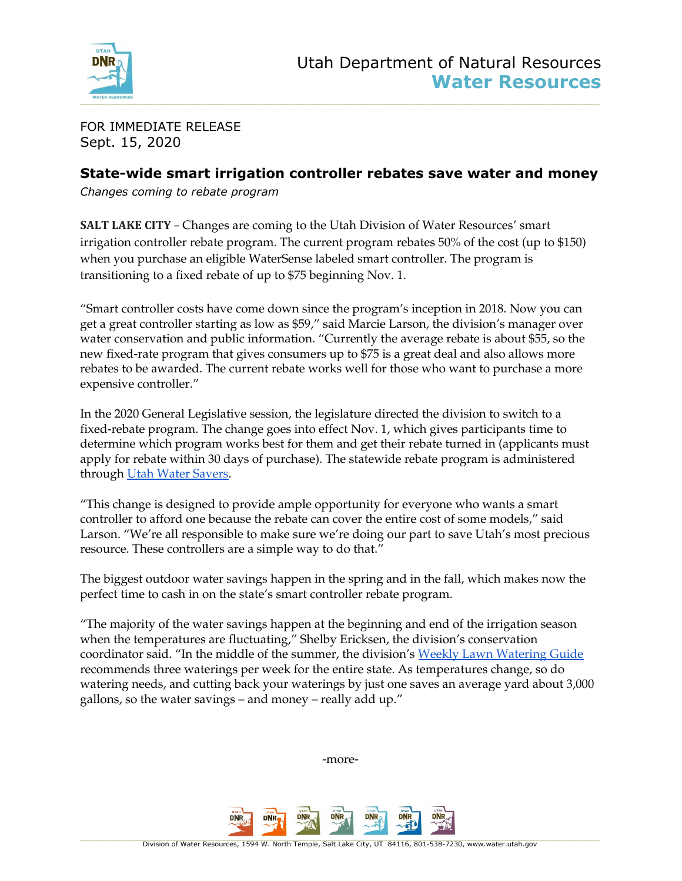

FOR IMMEDIATE RELEASE Sept. 15, 2020

## **State-wide smart irrigation controller rebates save water and money**

*Changes coming to rebate program*

**SALT LAKE CITY** – Changes are coming to the Utah Division of Water Resources' smart irrigation controller rebate program. The current program rebates 50% of the cost (up to \$150) when you purchase an eligible WaterSense labeled smart controller. The program is transitioning to a fixed rebate of up to \$75 beginning Nov. 1.

"Smart controller costs have come down since the program's inception in 2018. Now you can get a great controller starting as low as \$59," said Marcie Larson, the division's manager over water conservation and public information. "Currently the average rebate is about \$55, so the new fixed-rate program that gives consumers up to \$75 is a great deal and also allows more rebates to be awarded. The current rebate works well for those who want to purchase a more expensive controller."

In the 2020 General Legislative session, the legislature directed the division to switch to a fixed-rebate program. The change goes into effect Nov. 1, which gives participants time to determine which program works best for them and get their rebate turned in (applicants must apply for rebate within 30 days of purchase). The statewide rebate program is administered through Utah Water [Savers.](https://utahwatersavers.com/)

"This change is designed to provide ample opportunity for everyone who wants a smart controller to afford one because the rebate can cover the entire cost of some models," said Larson. "We're all responsible to make sure we're doing our part to save Utah's most precious resource. These controllers are a simple way to do that."

The biggest outdoor water savings happen in the spring and in the fall, which makes now the perfect time to cash in on the state's smart controller rebate program.

"The majority of the water savings happen at the beginning and end of the irrigation season when the temperatures are fluctuating," Shelby Ericksen, the division's conservation coordinator said. "In the middle of the summer, the division's Weekly Lawn [Watering](https://conservewater.utah.gov/guide.html) Guide recommends three waterings per week for the entire state. As temperatures change, so do watering needs, and cutting back your waterings by just one saves an average yard about 3,000 gallons, so the water savings – and money – really add up."

-more-